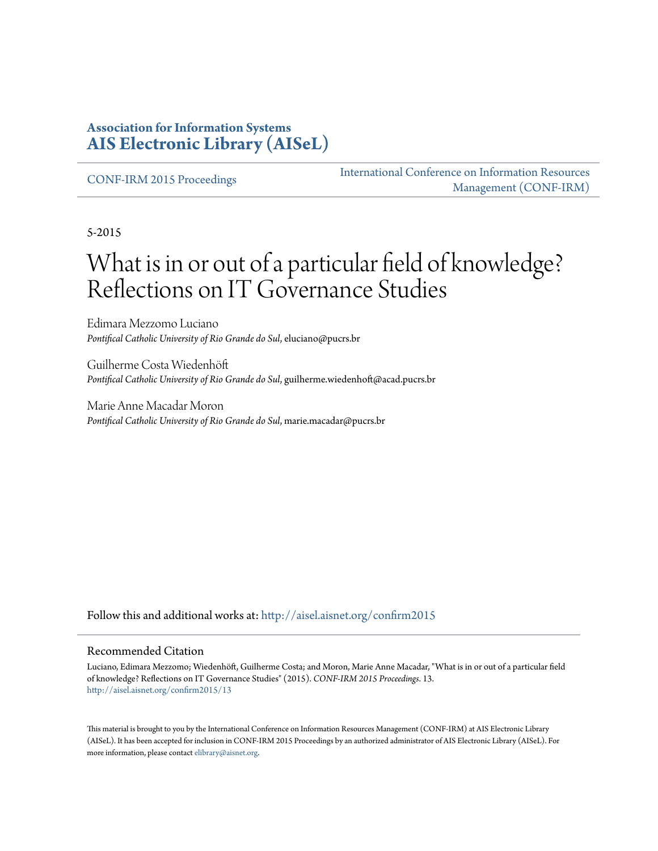#### **Association for Information Systems [AIS Electronic Library \(AISeL\)](http://aisel.aisnet.org?utm_source=aisel.aisnet.org%2Fconfirm2015%2F13&utm_medium=PDF&utm_campaign=PDFCoverPages)**

[CONF-IRM 2015 Proceedings](http://aisel.aisnet.org/confirm2015?utm_source=aisel.aisnet.org%2Fconfirm2015%2F13&utm_medium=PDF&utm_campaign=PDFCoverPages)

[International Conference on Information Resources](http://aisel.aisnet.org/conf-irm?utm_source=aisel.aisnet.org%2Fconfirm2015%2F13&utm_medium=PDF&utm_campaign=PDFCoverPages) [Management \(CONF-IRM\)](http://aisel.aisnet.org/conf-irm?utm_source=aisel.aisnet.org%2Fconfirm2015%2F13&utm_medium=PDF&utm_campaign=PDFCoverPages)

5-2015

# What is in or out of a particular field of knowledge? Reflections on IT Governance Studies

Edimara Mezzomo Luciano *Pontifical Catholic University of Rio Grande do Sul*, eluciano@pucrs.br

Guilherme Costa Wiedenhöft *Pontifical Catholic University of Rio Grande do Sul*, guilherme.wiedenhoft@acad.pucrs.br

Marie Anne Macadar Moron *Pontifical Catholic University of Rio Grande do Sul*, marie.macadar@pucrs.br

Follow this and additional works at: [http://aisel.aisnet.org/confirm2015](http://aisel.aisnet.org/confirm2015?utm_source=aisel.aisnet.org%2Fconfirm2015%2F13&utm_medium=PDF&utm_campaign=PDFCoverPages)

#### Recommended Citation

Luciano, Edimara Mezzomo; Wiedenhöft, Guilherme Costa; and Moron, Marie Anne Macadar, "What is in or out of a particular field of knowledge? Reflections on IT Governance Studies" (2015). *CONF-IRM 2015 Proceedings*. 13. [http://aisel.aisnet.org/confirm2015/13](http://aisel.aisnet.org/confirm2015/13?utm_source=aisel.aisnet.org%2Fconfirm2015%2F13&utm_medium=PDF&utm_campaign=PDFCoverPages)

This material is brought to you by the International Conference on Information Resources Management (CONF-IRM) at AIS Electronic Library (AISeL). It has been accepted for inclusion in CONF-IRM 2015 Proceedings by an authorized administrator of AIS Electronic Library (AISeL). For more information, please contact [elibrary@aisnet.org.](mailto:elibrary@aisnet.org%3E)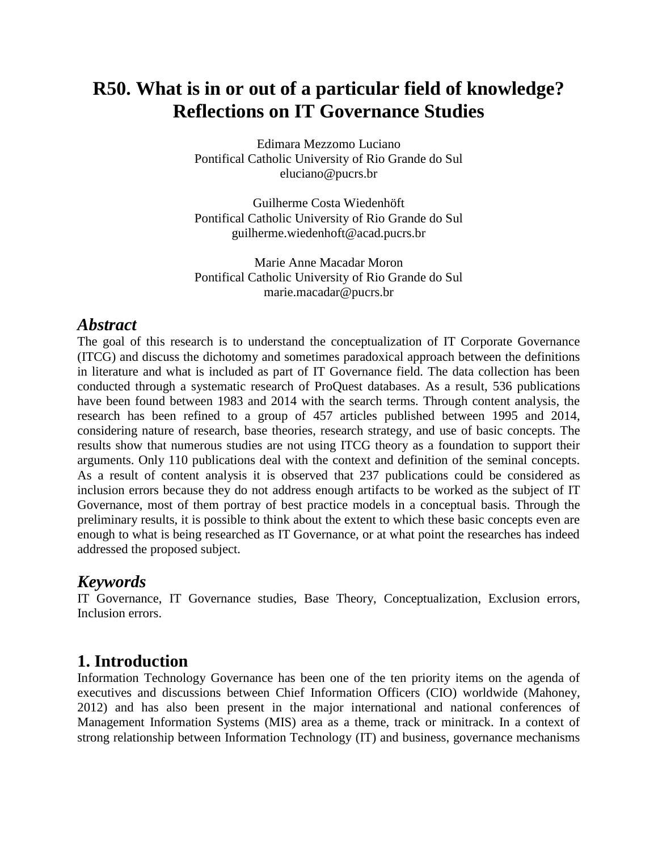## **R50. What is in or out of a particular field of knowledge? Reflections on IT Governance Studies**

Edimara Mezzomo Luciano Pontifical Catholic University of Rio Grande do Sul eluciano@pucrs.br

Guilherme Costa Wiedenhöft Pontifical Catholic University of Rio Grande do Sul guilherme.wiedenhoft@acad.pucrs.br

Marie Anne Macadar Moron Pontifical Catholic University of Rio Grande do Sul marie.macadar@pucrs.br

### *Abstract*

The goal of this research is to understand the conceptualization of IT Corporate Governance (ITCG) and discuss the dichotomy and sometimes paradoxical approach between the definitions in literature and what is included as part of IT Governance field. The data collection has been conducted through a systematic research of ProQuest databases. As a result, 536 publications have been found between 1983 and 2014 with the search terms. Through content analysis, the research has been refined to a group of 457 articles published between 1995 and 2014, considering nature of research, base theories, research strategy, and use of basic concepts. The results show that numerous studies are not using ITCG theory as a foundation to support their arguments. Only 110 publications deal with the context and definition of the seminal concepts. As a result of content analysis it is observed that 237 publications could be considered as inclusion errors because they do not address enough artifacts to be worked as the subject of IT Governance, most of them portray of best practice models in a conceptual basis. Through the preliminary results, it is possible to think about the extent to which these basic concepts even are enough to what is being researched as IT Governance, or at what point the researches has indeed addressed the proposed subject.

### *Keywords*

IT Governance, IT Governance studies, Base Theory, Conceptualization, Exclusion errors, Inclusion errors.

### **1. Introduction**

Information Technology Governance has been one of the ten priority items on the agenda of executives and discussions between Chief Information Officers (CIO) worldwide (Mahoney, 2012) and has also been present in the major international and national conferences of Management Information Systems (MIS) area as a theme, track or minitrack. In a context of strong relationship between Information Technology (IT) and business, governance mechanisms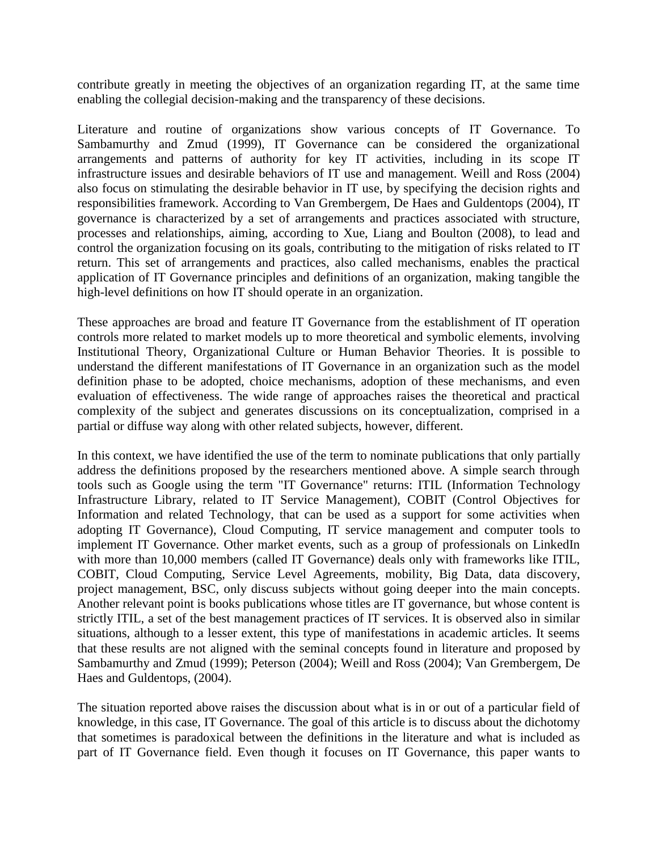contribute greatly in meeting the objectives of an organization regarding IT, at the same time enabling the collegial decision-making and the transparency of these decisions.

Literature and routine of organizations show various concepts of IT Governance. To Sambamurthy and Zmud (1999), IT Governance can be considered the organizational arrangements and patterns of authority for key IT activities, including in its scope IT infrastructure issues and desirable behaviors of IT use and management. Weill and Ross (2004) also focus on stimulating the desirable behavior in IT use, by specifying the decision rights and responsibilities framework. According to Van Grembergem, De Haes and Guldentops (2004), IT governance is characterized by a set of arrangements and practices associated with structure, processes and relationships, aiming, according to Xue, Liang and Boulton (2008), to lead and control the organization focusing on its goals, contributing to the mitigation of risks related to IT return. This set of arrangements and practices, also called mechanisms, enables the practical application of IT Governance principles and definitions of an organization, making tangible the high-level definitions on how IT should operate in an organization.

These approaches are broad and feature IT Governance from the establishment of IT operation controls more related to market models up to more theoretical and symbolic elements, involving Institutional Theory, Organizational Culture or Human Behavior Theories. It is possible to understand the different manifestations of IT Governance in an organization such as the model definition phase to be adopted, choice mechanisms, adoption of these mechanisms, and even evaluation of effectiveness. The wide range of approaches raises the theoretical and practical complexity of the subject and generates discussions on its conceptualization, comprised in a partial or diffuse way along with other related subjects, however, different.

In this context, we have identified the use of the term to nominate publications that only partially address the definitions proposed by the researchers mentioned above. A simple search through tools such as Google using the term "IT Governance" returns: ITIL (Information Technology Infrastructure Library, related to IT Service Management), COBIT (Control Objectives for Information and related Technology, that can be used as a support for some activities when adopting IT Governance), Cloud Computing, IT service management and computer tools to implement IT Governance. Other market events, such as a group of professionals on LinkedIn with more than 10,000 members (called IT Governance) deals only with frameworks like ITIL, COBIT, Cloud Computing, Service Level Agreements, mobility, Big Data, data discovery, project management, BSC, only discuss subjects without going deeper into the main concepts. Another relevant point is books publications whose titles are IT governance, but whose content is strictly ITIL, a set of the best management practices of IT services. It is observed also in similar situations, although to a lesser extent, this type of manifestations in academic articles. It seems that these results are not aligned with the seminal concepts found in literature and proposed by Sambamurthy and Zmud (1999); Peterson (2004); Weill and Ross (2004); Van Grembergem, De Haes and Guldentops, (2004).

The situation reported above raises the discussion about what is in or out of a particular field of knowledge, in this case, IT Governance. The goal of this article is to discuss about the dichotomy that sometimes is paradoxical between the definitions in the literature and what is included as part of IT Governance field. Even though it focuses on IT Governance, this paper wants to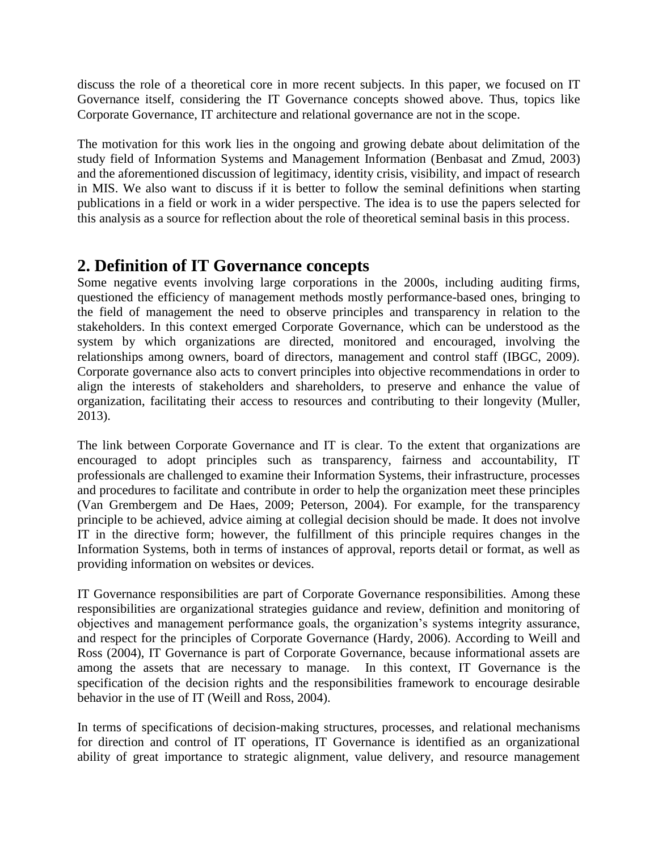discuss the role of a theoretical core in more recent subjects. In this paper, we focused on IT Governance itself, considering the IT Governance concepts showed above. Thus, topics like Corporate Governance, IT architecture and relational governance are not in the scope.

The motivation for this work lies in the ongoing and growing debate about delimitation of the study field of Information Systems and Management Information (Benbasat and Zmud, 2003) and the aforementioned discussion of legitimacy, identity crisis, visibility, and impact of research in MIS. We also want to discuss if it is better to follow the seminal definitions when starting publications in a field or work in a wider perspective. The idea is to use the papers selected for this analysis as a source for reflection about the role of theoretical seminal basis in this process.

### **2. Definition of IT Governance concepts**

Some negative events involving large corporations in the 2000s, including auditing firms, questioned the efficiency of management methods mostly performance-based ones, bringing to the field of management the need to observe principles and transparency in relation to the stakeholders. In this context emerged Corporate Governance, which can be understood as the system by which organizations are directed, monitored and encouraged, involving the relationships among owners, board of directors, management and control staff (IBGC, 2009). Corporate governance also acts to convert principles into objective recommendations in order to align the interests of stakeholders and shareholders, to preserve and enhance the value of organization, facilitating their access to resources and contributing to their longevity (Muller, 2013).

The link between Corporate Governance and IT is clear. To the extent that organizations are encouraged to adopt principles such as transparency, fairness and accountability, IT professionals are challenged to examine their Information Systems, their infrastructure, processes and procedures to facilitate and contribute in order to help the organization meet these principles (Van Grembergem and De Haes, 2009; Peterson, 2004). For example, for the transparency principle to be achieved, advice aiming at collegial decision should be made. It does not involve IT in the directive form; however, the fulfillment of this principle requires changes in the Information Systems, both in terms of instances of approval, reports detail or format, as well as providing information on websites or devices.

IT Governance responsibilities are part of Corporate Governance responsibilities. Among these responsibilities are organizational strategies guidance and review, definition and monitoring of objectives and management performance goals, the organization's systems integrity assurance, and respect for the principles of Corporate Governance (Hardy, 2006). According to Weill and Ross (2004), IT Governance is part of Corporate Governance, because informational assets are among the assets that are necessary to manage. In this context, IT Governance is the specification of the decision rights and the responsibilities framework to encourage desirable behavior in the use of IT (Weill and Ross, 2004).

In terms of specifications of decision-making structures, processes, and relational mechanisms for direction and control of IT operations, IT Governance is identified as an organizational ability of great importance to strategic alignment, value delivery, and resource management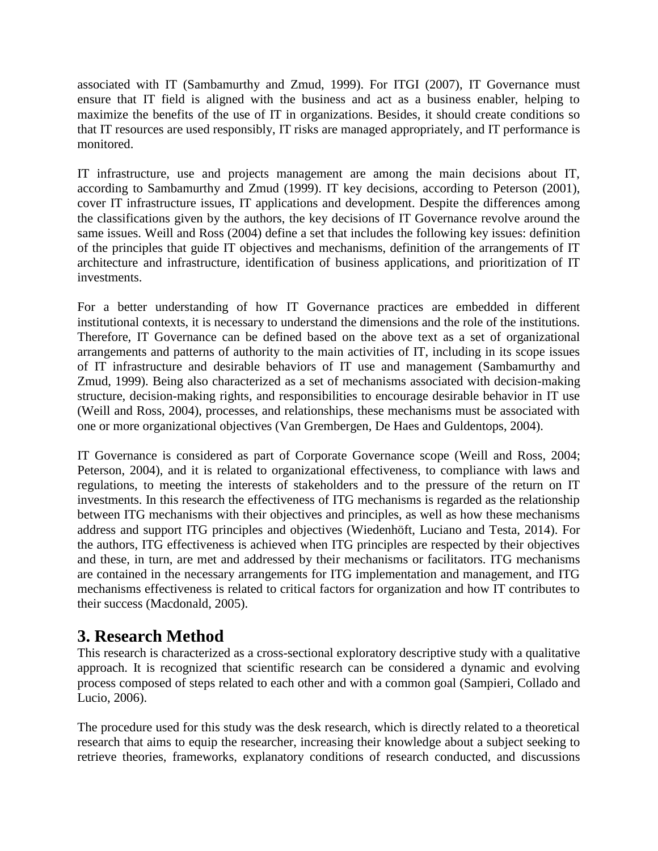associated with IT (Sambamurthy and Zmud, 1999). For ITGI (2007), IT Governance must ensure that IT field is aligned with the business and act as a business enabler, helping to maximize the benefits of the use of IT in organizations. Besides, it should create conditions so that IT resources are used responsibly, IT risks are managed appropriately, and IT performance is monitored.

IT infrastructure, use and projects management are among the main decisions about IT, according to Sambamurthy and Zmud (1999). IT key decisions, according to Peterson (2001), cover IT infrastructure issues, IT applications and development. Despite the differences among the classifications given by the authors, the key decisions of IT Governance revolve around the same issues. Weill and Ross (2004) define a set that includes the following key issues: definition of the principles that guide IT objectives and mechanisms, definition of the arrangements of IT architecture and infrastructure, identification of business applications, and prioritization of IT investments.

For a better understanding of how IT Governance practices are embedded in different institutional contexts, it is necessary to understand the dimensions and the role of the institutions. Therefore, IT Governance can be defined based on the above text as a set of organizational arrangements and patterns of authority to the main activities of IT, including in its scope issues of IT infrastructure and desirable behaviors of IT use and management (Sambamurthy and Zmud, 1999). Being also characterized as a set of mechanisms associated with decision-making structure, decision-making rights, and responsibilities to encourage desirable behavior in IT use (Weill and Ross, 2004), processes, and relationships, these mechanisms must be associated with one or more organizational objectives (Van Grembergen, De Haes and Guldentops, 2004).

IT Governance is considered as part of Corporate Governance scope (Weill and Ross, 2004; Peterson, 2004), and it is related to organizational effectiveness, to compliance with laws and regulations, to meeting the interests of stakeholders and to the pressure of the return on IT investments. In this research the effectiveness of ITG mechanisms is regarded as the relationship between ITG mechanisms with their objectives and principles, as well as how these mechanisms address and support ITG principles and objectives (Wiedenhöft, Luciano and Testa, 2014). For the authors, ITG effectiveness is achieved when ITG principles are respected by their objectives and these, in turn, are met and addressed by their mechanisms or facilitators. ITG mechanisms are contained in the necessary arrangements for ITG implementation and management, and ITG mechanisms effectiveness is related to critical factors for organization and how IT contributes to their success (Macdonald, 2005).

### **3. Research Method**

This research is characterized as a cross-sectional exploratory descriptive study with a qualitative approach. It is recognized that scientific research can be considered a dynamic and evolving process composed of steps related to each other and with a common goal (Sampieri, Collado and Lucio, 2006).

The procedure used for this study was the desk research, which is directly related to a theoretical research that aims to equip the researcher, increasing their knowledge about a subject seeking to retrieve theories, frameworks, explanatory conditions of research conducted, and discussions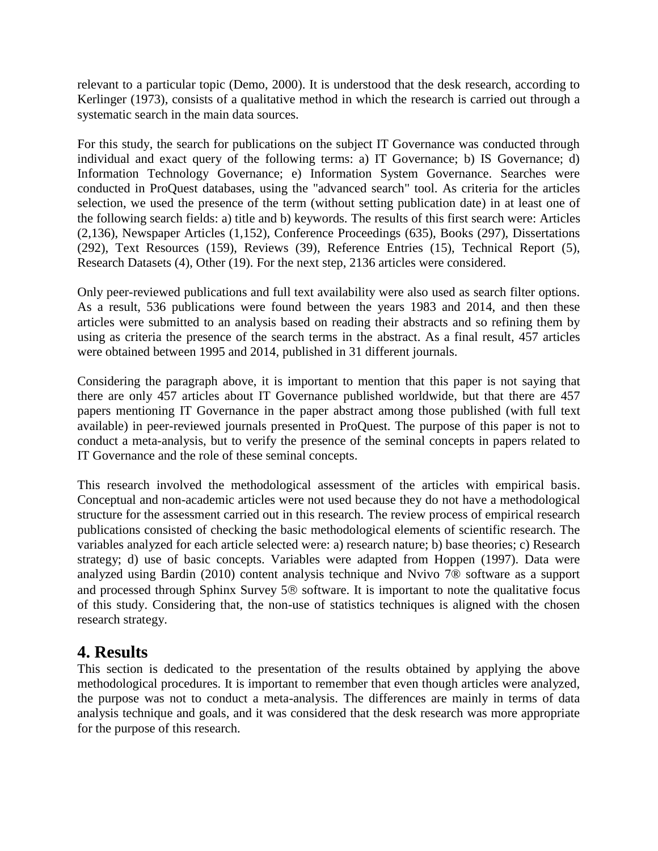relevant to a particular topic (Demo, 2000). It is understood that the desk research, according to Kerlinger (1973), consists of a qualitative method in which the research is carried out through a systematic search in the main data sources.

For this study, the search for publications on the subject IT Governance was conducted through individual and exact query of the following terms: a) IT Governance; b) IS Governance; d) Information Technology Governance; e) Information System Governance. Searches were conducted in ProQuest databases, using the "advanced search" tool. As criteria for the articles selection, we used the presence of the term (without setting publication date) in at least one of the following search fields: a) title and b) keywords. The results of this first search were: Articles (2,136), Newspaper Articles (1,152), Conference Proceedings (635), Books (297), Dissertations (292), Text Resources (159), Reviews (39), Reference Entries (15), Technical Report (5), Research Datasets (4), Other (19). For the next step, 2136 articles were considered.

Only peer-reviewed publications and full text availability were also used as search filter options. As a result, 536 publications were found between the years 1983 and 2014, and then these articles were submitted to an analysis based on reading their abstracts and so refining them by using as criteria the presence of the search terms in the abstract. As a final result, 457 articles were obtained between 1995 and 2014, published in 31 different journals.

Considering the paragraph above, it is important to mention that this paper is not saying that there are only 457 articles about IT Governance published worldwide, but that there are 457 papers mentioning IT Governance in the paper abstract among those published (with full text available) in peer-reviewed journals presented in ProQuest. The purpose of this paper is not to conduct a meta-analysis, but to verify the presence of the seminal concepts in papers related to IT Governance and the role of these seminal concepts.

This research involved the methodological assessment of the articles with empirical basis. Conceptual and non-academic articles were not used because they do not have a methodological structure for the assessment carried out in this research. The review process of empirical research publications consisted of checking the basic methodological elements of scientific research. The variables analyzed for each article selected were: a) research nature; b) base theories; c) Research strategy; d) use of basic concepts. Variables were adapted from Hoppen (1997). Data were analyzed using Bardin (2010) content analysis technique and Nvivo 7® software as a support and processed through Sphinx Survey  $5\otimes$  software. It is important to note the qualitative focus of this study. Considering that, the non-use of statistics techniques is aligned with the chosen research strategy.

### **4. Results**

This section is dedicated to the presentation of the results obtained by applying the above methodological procedures. It is important to remember that even though articles were analyzed, the purpose was not to conduct a meta-analysis. The differences are mainly in terms of data analysis technique and goals, and it was considered that the desk research was more appropriate for the purpose of this research.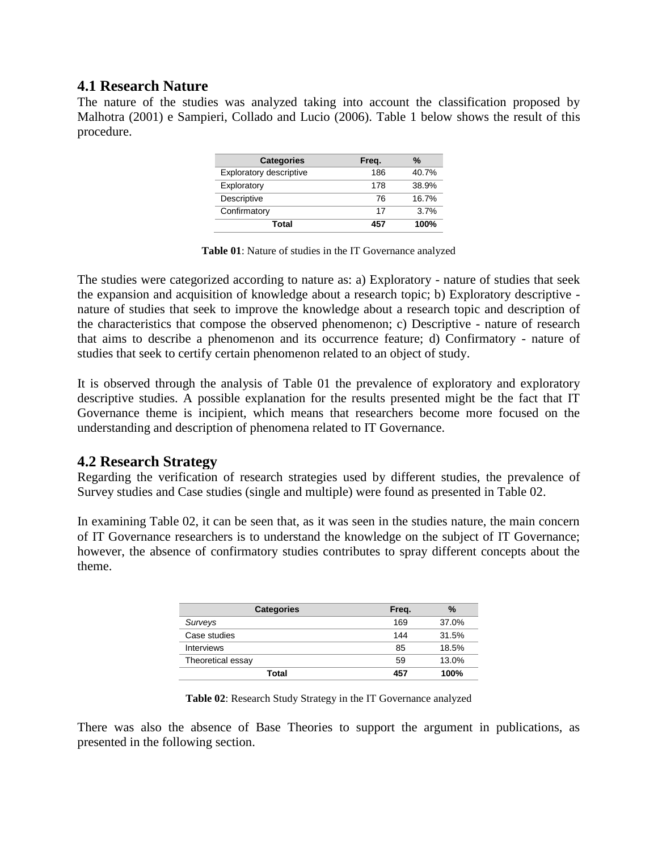#### **4.1 Research Nature**

The nature of the studies was analyzed taking into account the classification proposed by Malhotra (2001) e Sampieri, Collado and Lucio (2006). Table 1 below shows the result of this procedure.

| <b>Categories</b>       | Freq. | $\%$  |
|-------------------------|-------|-------|
| Exploratory descriptive | 186   | 40.7% |
| Exploratory             | 178   | 38.9% |
| Descriptive             | 76    | 16.7% |
| Confirmatory            | 17    | 3.7%  |
| Total                   | 457   | 100%  |

**Table 01**: Nature of studies in the IT Governance analyzed

The studies were categorized according to nature as: a) Exploratory - nature of studies that seek the expansion and acquisition of knowledge about a research topic; b) Exploratory descriptive nature of studies that seek to improve the knowledge about a research topic and description of the characteristics that compose the observed phenomenon; c) Descriptive - nature of research that aims to describe a phenomenon and its occurrence feature; d) Confirmatory - nature of studies that seek to certify certain phenomenon related to an object of study.

It is observed through the analysis of Table 01 the prevalence of exploratory and exploratory descriptive studies. A possible explanation for the results presented might be the fact that IT Governance theme is incipient, which means that researchers become more focused on the understanding and description of phenomena related to IT Governance.

#### **4.2 Research Strategy**

Regarding the verification of research strategies used by different studies, the prevalence of Survey studies and Case studies (single and multiple) were found as presented in Table 02.

In examining Table 02, it can be seen that, as it was seen in the studies nature, the main concern of IT Governance researchers is to understand the knowledge on the subject of IT Governance; however, the absence of confirmatory studies contributes to spray different concepts about the theme.

| <b>Categories</b> | Freq. | %     |
|-------------------|-------|-------|
| Surveys           | 169   | 37.0% |
| Case studies      | 144   | 31.5% |
| <b>Interviews</b> | 85    | 18.5% |
| Theoretical essay | 59    | 13.0% |
| Total             | 457   | 100%  |

|  |  | Table 02: Research Study Strategy in the IT Governance analyzed |  |
|--|--|-----------------------------------------------------------------|--|
|--|--|-----------------------------------------------------------------|--|

There was also the absence of Base Theories to support the argument in publications, as presented in the following section.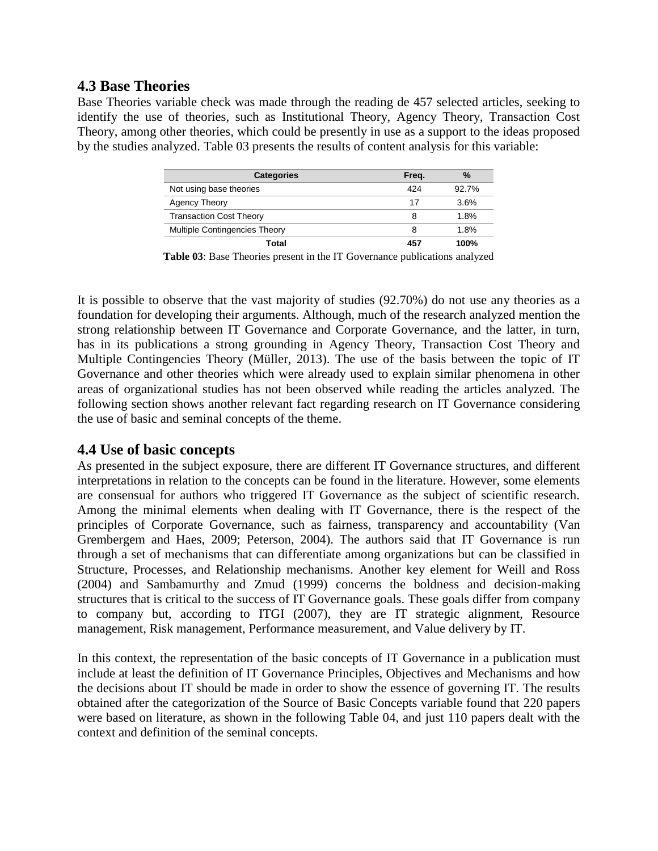#### **4.3 Base Theories**

Base Theories variable check was made through the reading de 457 selected articles, seeking to identify the use of theories, such as Institutional Theory, Agency Theory, Transaction Cost Theory, among other theories, which could be presently in use as a support to the ideas proposed by the studies analyzed. Table 03 presents the results of content analysis for this variable:

| <b>Categories</b>                    | Frea. | %     |
|--------------------------------------|-------|-------|
| Not using base theories              | 424   | 92.7% |
| Agency Theory                        | 17    | 3.6%  |
| <b>Transaction Cost Theory</b>       |       | 1.8%  |
| <b>Multiple Contingencies Theory</b> | 8     | 1.8%  |
| Total                                | 45.   | 100%  |

**Table 03**: Base Theories present in the IT Governance publications analyzed

It is possible to observe that the vast majority of studies (92.70%) do not use any theories as a foundation for developing their arguments. Although, much of the research analyzed mention the strong relationship between IT Governance and Corporate Governance, and the latter, in turn, has in its publications a strong grounding in Agency Theory, Transaction Cost Theory and Multiple Contingencies Theory (Müller, 2013). The use of the basis between the topic of IT Governance and other theories which were already used to explain similar phenomena in other areas of organizational studies has not been observed while reading the articles analyzed. The following section shows another relevant fact regarding research on IT Governance considering the use of basic and seminal concepts of the theme.

#### **4.4 Use of basic concepts**

As presented in the subject exposure, there are different IT Governance structures, and different interpretations in relation to the concepts can be found in the literature. However, some elements are consensual for authors who triggered IT Governance as the subject of scientific research. Among the minimal elements when dealing with IT Governance, there is the respect of the principles of Corporate Governance, such as fairness, transparency and accountability (Van Grembergem and Haes, 2009; Peterson, 2004). The authors said that IT Governance is run through a set of mechanisms that can differentiate among organizations but can be classified in Structure, Processes, and Relationship mechanisms. Another key element for Weill and Ross (2004) and Sambamurthy and Zmud (1999) concerns the boldness and decision-making structures that is critical to the success of IT Governance goals. These goals differ from company to company but, according to ITGI (2007), they are IT strategic alignment, Resource management, Risk management, Performance measurement, and Value delivery by IT.

In this context, the representation of the basic concepts of IT Governance in a publication must include at least the definition of IT Governance Principles, Objectives and Mechanisms and how the decisions about IT should be made in order to show the essence of governing IT. The results obtained after the categorization of the Source of Basic Concepts variable found that 220 papers were based on literature, as shown in the following Table 04, and just 110 papers dealt with the context and definition of the seminal concepts.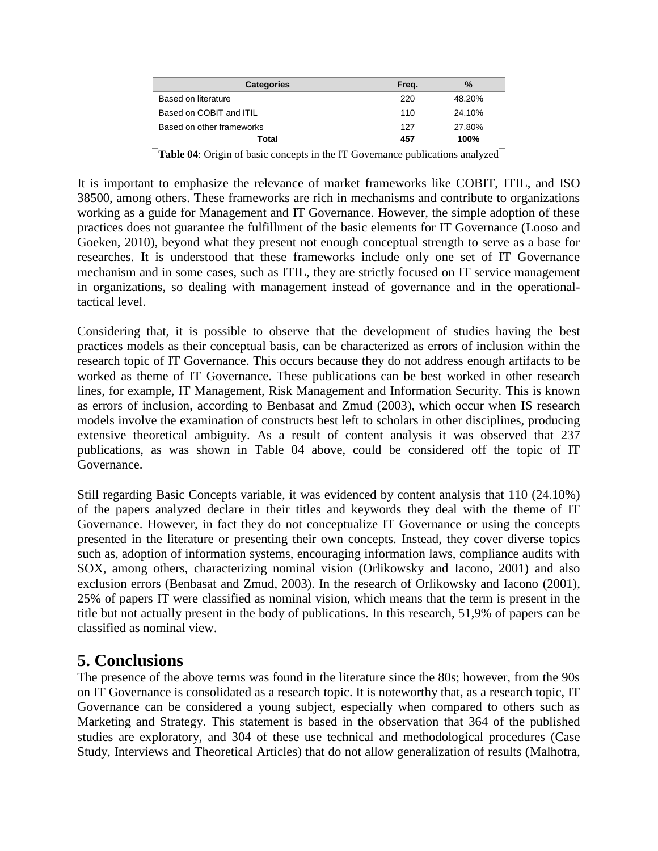| <b>Categories</b>         | Freq. | $\frac{9}{6}$ |
|---------------------------|-------|---------------|
| Based on literature       | 220   | 48.20%        |
| Based on COBIT and ITIL   | 110   | 24.10%        |
| Based on other frameworks | 127   | 27.80%        |
| Total                     | 457   | 100%          |

**Table 04**: Origin of basic concepts in the IT Governance publications analyzed

It is important to emphasize the relevance of market frameworks like COBIT, ITIL, and ISO 38500, among others. These frameworks are rich in mechanisms and contribute to organizations working as a guide for Management and IT Governance. However, the simple adoption of these practices does not guarantee the fulfillment of the basic elements for IT Governance (Looso and Goeken, 2010), beyond what they present not enough conceptual strength to serve as a base for researches. It is understood that these frameworks include only one set of IT Governance mechanism and in some cases, such as ITIL, they are strictly focused on IT service management in organizations, so dealing with management instead of governance and in the operationaltactical level.

Considering that, it is possible to observe that the development of studies having the best practices models as their conceptual basis, can be characterized as errors of inclusion within the research topic of IT Governance. This occurs because they do not address enough artifacts to be worked as theme of IT Governance. These publications can be best worked in other research lines, for example, IT Management, Risk Management and Information Security. This is known as errors of inclusion, according to Benbasat and Zmud (2003), which occur when IS research models involve the examination of constructs best left to scholars in other disciplines, producing extensive theoretical ambiguity. As a result of content analysis it was observed that 237 publications, as was shown in Table 04 above, could be considered off the topic of IT Governance.

Still regarding Basic Concepts variable, it was evidenced by content analysis that 110 (24.10%) of the papers analyzed declare in their titles and keywords they deal with the theme of IT Governance. However, in fact they do not conceptualize IT Governance or using the concepts presented in the literature or presenting their own concepts. Instead, they cover diverse topics such as, adoption of information systems, encouraging information laws, compliance audits with SOX, among others, characterizing nominal vision (Orlikowsky and Iacono, 2001) and also exclusion errors (Benbasat and Zmud, 2003). In the research of Orlikowsky and Iacono (2001), 25% of papers IT were classified as nominal vision, which means that the term is present in the title but not actually present in the body of publications. In this research, 51,9% of papers can be classified as nominal view.

### **5. Conclusions**

The presence of the above terms was found in the literature since the 80s; however, from the 90s on IT Governance is consolidated as a research topic. It is noteworthy that, as a research topic, IT Governance can be considered a young subject, especially when compared to others such as Marketing and Strategy. This statement is based in the observation that 364 of the published studies are exploratory, and 304 of these use technical and methodological procedures (Case Study, Interviews and Theoretical Articles) that do not allow generalization of results (Malhotra,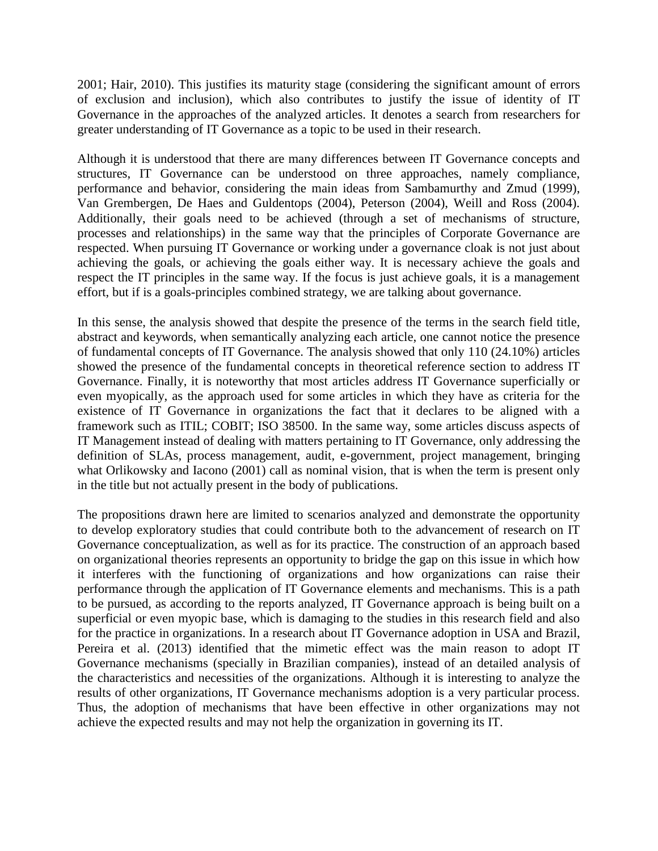2001; Hair, 2010). This justifies its maturity stage (considering the significant amount of errors of exclusion and inclusion), which also contributes to justify the issue of identity of IT Governance in the approaches of the analyzed articles. It denotes a search from researchers for greater understanding of IT Governance as a topic to be used in their research.

Although it is understood that there are many differences between IT Governance concepts and structures, IT Governance can be understood on three approaches, namely compliance, performance and behavior, considering the main ideas from Sambamurthy and Zmud (1999), Van Grembergen, De Haes and Guldentops (2004), Peterson (2004), Weill and Ross (2004). Additionally, their goals need to be achieved (through a set of mechanisms of structure, processes and relationships) in the same way that the principles of Corporate Governance are respected. When pursuing IT Governance or working under a governance cloak is not just about achieving the goals, or achieving the goals either way. It is necessary achieve the goals and respect the IT principles in the same way. If the focus is just achieve goals, it is a management effort, but if is a goals-principles combined strategy, we are talking about governance.

In this sense, the analysis showed that despite the presence of the terms in the search field title, abstract and keywords, when semantically analyzing each article, one cannot notice the presence of fundamental concepts of IT Governance. The analysis showed that only 110 (24.10%) articles showed the presence of the fundamental concepts in theoretical reference section to address IT Governance. Finally, it is noteworthy that most articles address IT Governance superficially or even myopically, as the approach used for some articles in which they have as criteria for the existence of IT Governance in organizations the fact that it declares to be aligned with a framework such as ITIL; COBIT; ISO 38500. In the same way, some articles discuss aspects of IT Management instead of dealing with matters pertaining to IT Governance, only addressing the definition of SLAs, process management, audit, e-government, project management, bringing what Orlikowsky and Iacono (2001) call as nominal vision, that is when the term is present only in the title but not actually present in the body of publications.

The propositions drawn here are limited to scenarios analyzed and demonstrate the opportunity to develop exploratory studies that could contribute both to the advancement of research on IT Governance conceptualization, as well as for its practice. The construction of an approach based on organizational theories represents an opportunity to bridge the gap on this issue in which how it interferes with the functioning of organizations and how organizations can raise their performance through the application of IT Governance elements and mechanisms. This is a path to be pursued, as according to the reports analyzed, IT Governance approach is being built on a superficial or even myopic base, which is damaging to the studies in this research field and also for the practice in organizations. In a research about IT Governance adoption in USA and Brazil, Pereira et al. (2013) identified that the mimetic effect was the main reason to adopt IT Governance mechanisms (specially in Brazilian companies), instead of an detailed analysis of the characteristics and necessities of the organizations. Although it is interesting to analyze the results of other organizations, IT Governance mechanisms adoption is a very particular process. Thus, the adoption of mechanisms that have been effective in other organizations may not achieve the expected results and may not help the organization in governing its IT.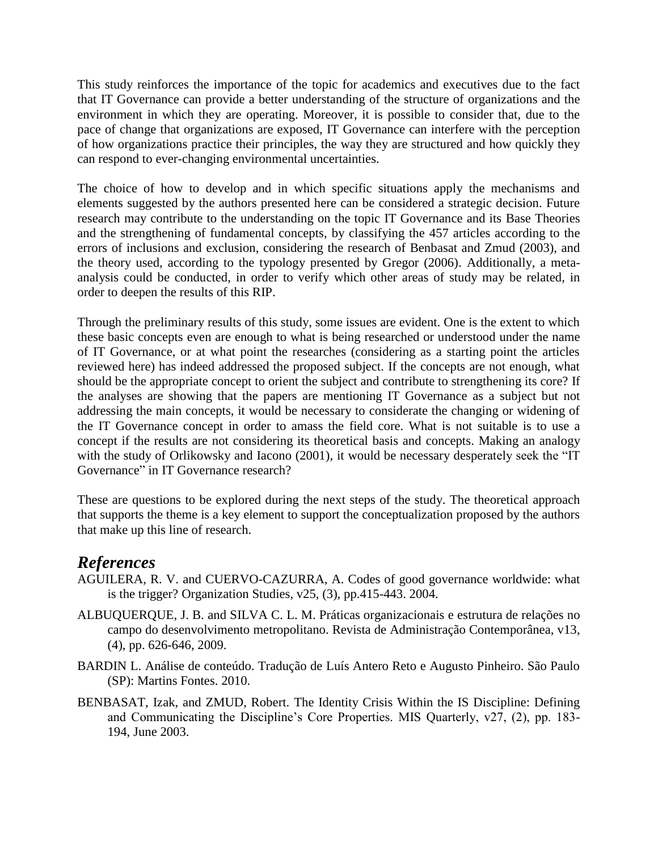This study reinforces the importance of the topic for academics and executives due to the fact that IT Governance can provide a better understanding of the structure of organizations and the environment in which they are operating. Moreover, it is possible to consider that, due to the pace of change that organizations are exposed, IT Governance can interfere with the perception of how organizations practice their principles, the way they are structured and how quickly they can respond to ever-changing environmental uncertainties.

The choice of how to develop and in which specific situations apply the mechanisms and elements suggested by the authors presented here can be considered a strategic decision. Future research may contribute to the understanding on the topic IT Governance and its Base Theories and the strengthening of fundamental concepts, by classifying the 457 articles according to the errors of inclusions and exclusion, considering the research of Benbasat and Zmud (2003), and the theory used, according to the typology presented by Gregor (2006). Additionally, a metaanalysis could be conducted, in order to verify which other areas of study may be related, in order to deepen the results of this RIP.

Through the preliminary results of this study, some issues are evident. One is the extent to which these basic concepts even are enough to what is being researched or understood under the name of IT Governance, or at what point the researches (considering as a starting point the articles reviewed here) has indeed addressed the proposed subject. If the concepts are not enough, what should be the appropriate concept to orient the subject and contribute to strengthening its core? If the analyses are showing that the papers are mentioning IT Governance as a subject but not addressing the main concepts, it would be necessary to considerate the changing or widening of the IT Governance concept in order to amass the field core. What is not suitable is to use a concept if the results are not considering its theoretical basis and concepts. Making an analogy with the study of Orlikowsky and Iacono (2001), it would be necessary desperately seek the "IT Governance" in IT Governance research?

These are questions to be explored during the next steps of the study. The theoretical approach that supports the theme is a key element to support the conceptualization proposed by the authors that make up this line of research.

### *References*

- AGUILERA, R. V. and CUERVO-CAZURRA, A. Codes of good governance worldwide: what is the trigger? Organization Studies, v25, (3), pp.415-443. 2004.
- ALBUQUERQUE, J. B. and SILVA C. L. M. Práticas organizacionais e estrutura de relações no campo do desenvolvimento metropolitano. Revista de Administração Contemporânea, v13, (4), pp. 626-646, 2009.
- BARDIN L. Análise de conteúdo. Tradução de Luís Antero Reto e Augusto Pinheiro. São Paulo (SP): Martins Fontes. 2010.
- BENBASAT, Izak, and ZMUD, Robert. The Identity Crisis Within the IS Discipline: Defining and Communicating the Discipline's Core Properties. MIS Quarterly, v27, (2), pp. 183- 194, June 2003.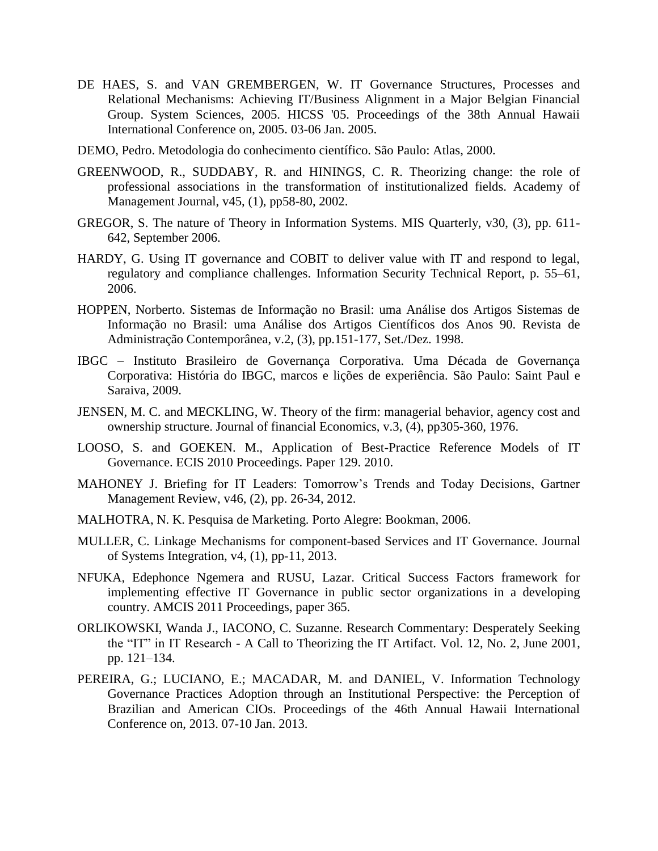- DE HAES, S. and VAN GREMBERGEN, W. IT Governance Structures, Processes and Relational Mechanisms: Achieving IT/Business Alignment in a Major Belgian Financial Group. System Sciences, 2005. HICSS '05. Proceedings of the 38th Annual Hawaii International Conference on, 2005. 03-06 Jan. 2005.
- DEMO, Pedro. Metodologia do conhecimento científico. São Paulo: Atlas, 2000.
- GREENWOOD, R., SUDDABY, R. and HININGS, C. R. Theorizing change: the role of professional associations in the transformation of institutionalized fields. Academy of Management Journal, v45, (1), pp58-80, 2002.
- GREGOR, S. The nature of Theory in Information Systems. MIS Quarterly, v30, (3), pp. 611- 642, September 2006.
- HARDY, G. Using IT governance and COBIT to deliver value with IT and respond to legal, regulatory and compliance challenges. Information Security Technical Report, p. 55–61, 2006.
- HOPPEN, Norberto. Sistemas de Informação no Brasil: uma Análise dos Artigos Sistemas de Informação no Brasil: uma Análise dos Artigos Científicos dos Anos 90. Revista de Administração Contemporânea, v.2, (3), pp.151-177, Set./Dez. 1998.
- IBGC Instituto Brasileiro de Governança Corporativa. Uma Década de Governança Corporativa: História do IBGC, marcos e lições de experiência. São Paulo: Saint Paul e Saraiva, 2009.
- JENSEN, M. C. and MECKLING, W. Theory of the firm: managerial behavior, agency cost and ownership structure. Journal of financial Economics, v.3, (4), pp305-360, 1976.
- LOOSO, S. and GOEKEN. M., Application of Best-Practice Reference Models of IT Governance. ECIS 2010 Proceedings. Paper 129. 2010.
- MAHONEY J. Briefing for IT Leaders: Tomorrow's Trends and Today Decisions, Gartner Management Review, v46, (2), pp. 26-34, 2012.
- MALHOTRA, N. K. Pesquisa de Marketing. Porto Alegre: Bookman, 2006.
- MULLER, C. Linkage Mechanisms for component-based Services and IT Governance. Journal of Systems Integration, v4, (1), pp-11, 2013.
- NFUKA, Edephonce Ngemera and RUSU, Lazar. Critical Success Factors framework for implementing effective IT Governance in public sector organizations in a developing country. AMCIS 2011 Proceedings, paper 365.
- ORLIKOWSKI, Wanda J., IACONO, C. Suzanne. Research Commentary: Desperately Seeking the "IT" in IT Research - A Call to Theorizing the IT Artifact. Vol. 12, No. 2, June 2001, pp. 121–134.
- PEREIRA, G.; LUCIANO, E.; MACADAR, M. and DANIEL, V. Information Technology Governance Practices Adoption through an Institutional Perspective: the Perception of Brazilian and American CIOs. Proceedings of the 46th Annual Hawaii International Conference on, 2013. 07-10 Jan. 2013.